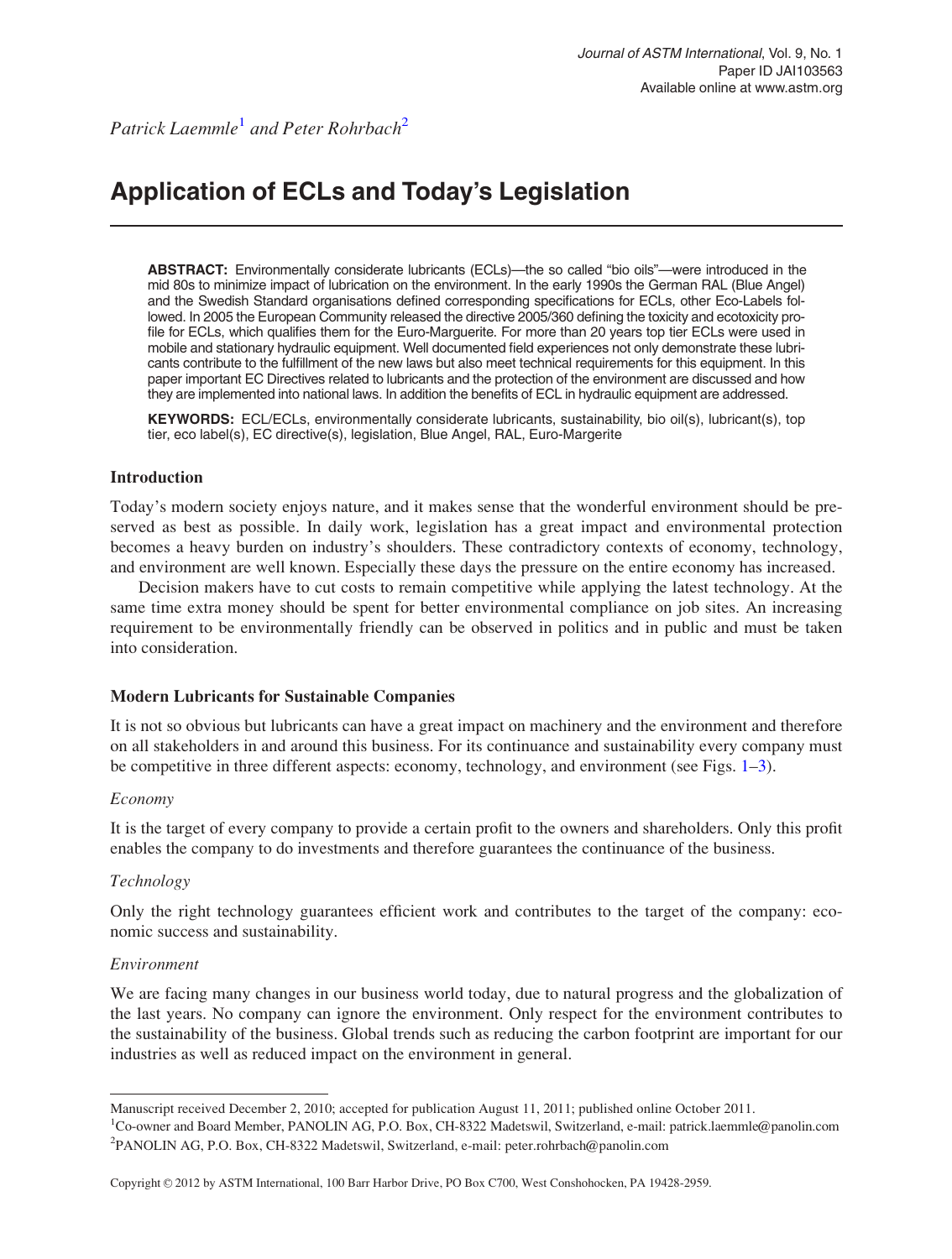# Application of ECLs and Today's Legislation

ABSTRACT: Environmentally considerate lubricants (ECLs)—the so called "bio oils"—were introduced in the mid 80s to minimize impact of lubrication on the environment. In the early 1990s the German RAL (Blue Angel) and the Swedish Standard organisations defined corresponding specifications for ECLs, other Eco-Labels followed. In 2005 the European Community released the directive 2005/360 defining the toxicity and ecotoxicity profile for ECLs, which qualifies them for the Euro-Marguerite. For more than 20 years top tier ECLs were used in mobile and stationary hydraulic equipment. Well documented field experiences not only demonstrate these lubricants contribute to the fulfillment of the new laws but also meet technical requirements for this equipment. In this paper important EC Directives related to lubricants and the protection of the environment are discussed and how they are implemented into national laws. In addition the benefits of ECL in hydraulic equipment are addressed.

KEYWORDS: ECL/ECLs, environmentally considerate lubricants, sustainability, bio oil(s), lubricant(s), top tier, eco label(s), EC directive(s), legislation, Blue Angel, RAL, Euro-Margerite

## Introduction

Today's modern society enjoys nature, and it makes sense that the wonderful environment should be preserved as best as possible. In daily work, legislation has a great impact and environmental protection becomes a heavy burden on industry's shoulders. These contradictory contexts of economy, technology, and environment are well known. Especially these days the pressure on the entire economy has increased.

Decision makers have to cut costs to remain competitive while applying the latest technology. At the same time extra money should be spent for better environmental compliance on job sites. An increasing requirement to be environmentally friendly can be observed in politics and in public and must be taken into consideration.

## Modern Lubricants for Sustainable Companies

It is not so obvious but lubricants can have a great impact on machinery and the environment and therefore on all stakeholders in and around this business. For its continuance and sustainability every company must be competitive in three different aspects: economy, technology, and environment (see Figs. [1](#page-1-0)–[3\)](#page-1-0).

## Economy

It is the target of every company to provide a certain profit to the owners and shareholders. Only this profit enables the company to do investments and therefore guarantees the continuance of the business.

## Technology

Only the right technology guarantees efficient work and contributes to the target of the company: economic success and sustainability.

## Environment

We are facing many changes in our business world today, due to natural progress and the globalization of the last years. No company can ignore the environment. Only respect for the environment contributes to the sustainability of the business. Global trends such as reducing the carbon footprint are important for our industries as well as reduced impact on the environment in general.

#### Copyright © 2012 by ASTM International, 100 Barr Harbor Drive, PO Box C700, West Conshohocken, PA 19428-2959.

Manuscript received December 2, 2010; accepted for publication August 11, 2011; published online October 2011.

<sup>&</sup>lt;sup>1</sup>Co-owner and Board Member, PANOLIN AG, P.O. Box, CH-8322 Madetswil, Switzerland, e-mail: patrick.laemmle@panolin.com <sup>2</sup>PANOLIN AG, P.O. Box, CH-8322 Madetswil, Switzerland, e-mail: peter.rohrbach@panolin.com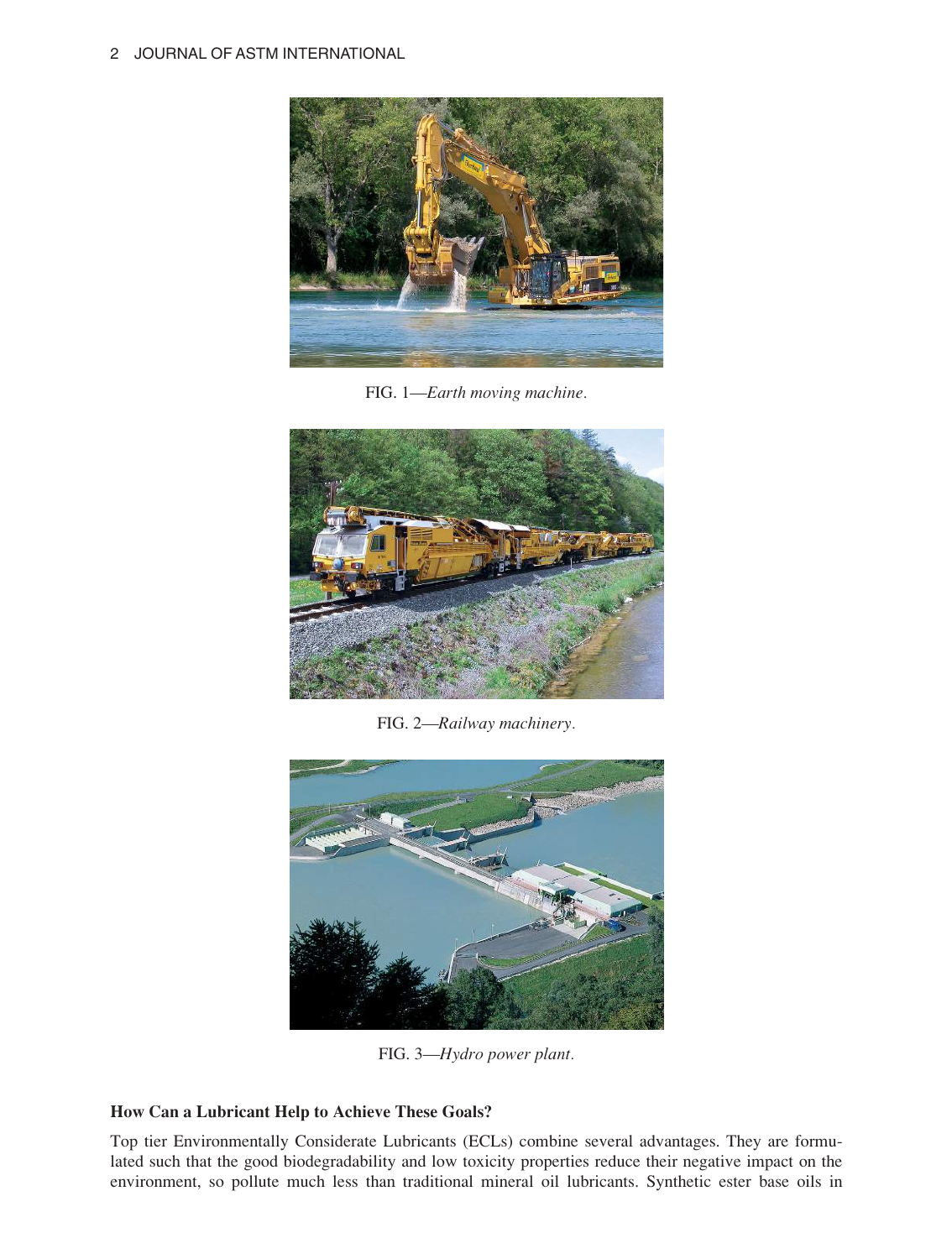<span id="page-1-0"></span>

FIG. 1—Earth moving machine.



FIG. 2—Railway machinery.



FIG. 3—Hydro power plant.

# How Can a Lubricant Help to Achieve These Goals?

Top tier Environmentally Considerate Lubricants (ECLs) combine several advantages. They are formulated such that the good biodegradability and low toxicity properties reduce their negative impact on the environment, so pollute much less than traditional mineral oil lubricants. Synthetic ester base oils in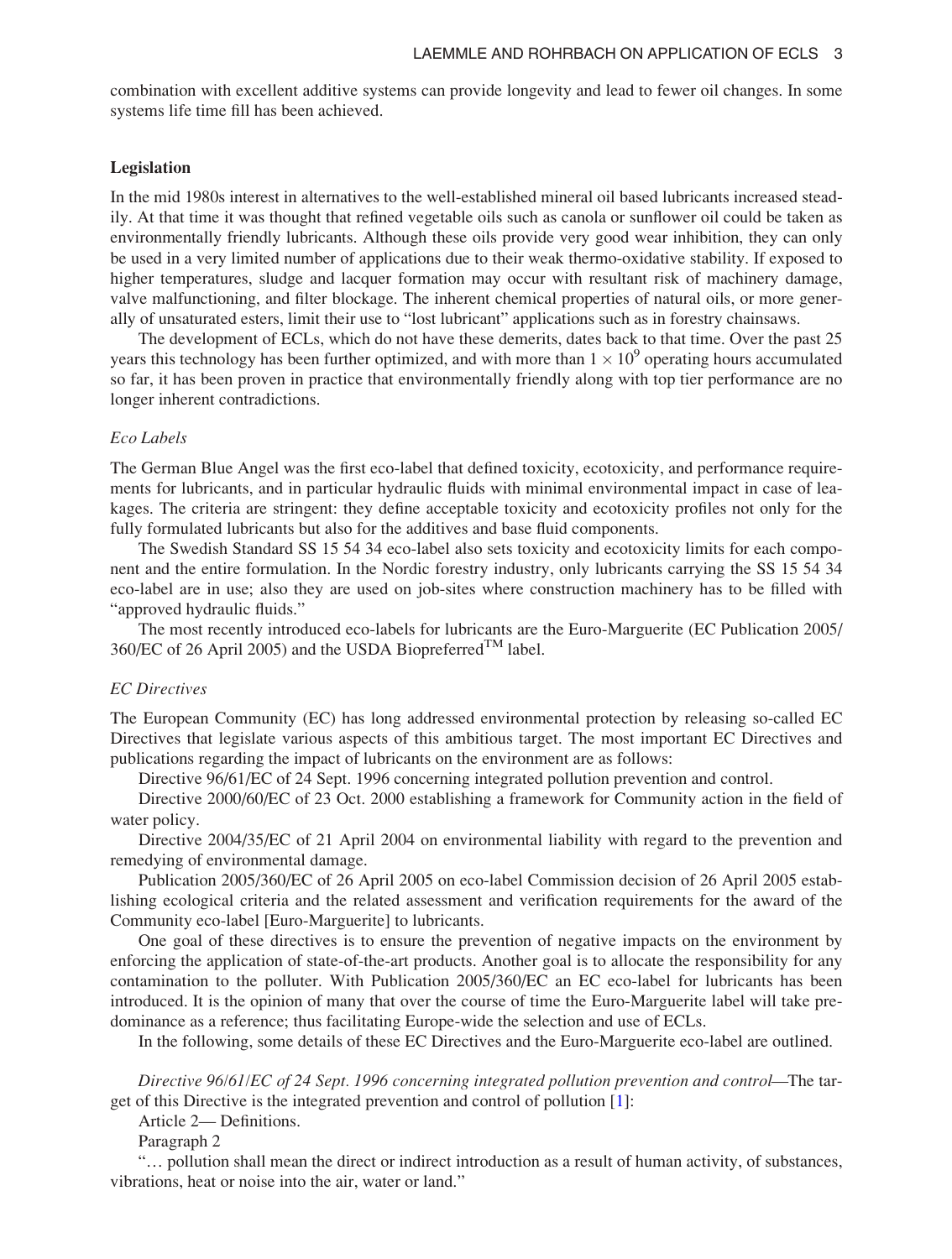combination with excellent additive systems can provide longevity and lead to fewer oil changes. In some systems life time fill has been achieved.

#### Legislation

In the mid 1980s interest in alternatives to the well-established mineral oil based lubricants increased steadily. At that time it was thought that refined vegetable oils such as canola or sunflower oil could be taken as environmentally friendly lubricants. Although these oils provide very good wear inhibition, they can only be used in a very limited number of applications due to their weak thermo-oxidative stability. If exposed to higher temperatures, sludge and lacquer formation may occur with resultant risk of machinery damage, valve malfunctioning, and filter blockage. The inherent chemical properties of natural oils, or more generally of unsaturated esters, limit their use to "lost lubricant" applications such as in forestry chainsaws.

The development of ECLs, which do not have these demerits, dates back to that time. Over the past 25 years this technology has been further optimized, and with more than  $1 \times 10^9$  operating hours accumulated so far, it has been proven in practice that environmentally friendly along with top tier performance are no longer inherent contradictions.

#### Eco Labels

The German Blue Angel was the first eco-label that defined toxicity, ecotoxicity, and performance requirements for lubricants, and in particular hydraulic fluids with minimal environmental impact in case of leakages. The criteria are stringent: they define acceptable toxicity and ecotoxicity profiles not only for the fully formulated lubricants but also for the additives and base fluid components.

The Swedish Standard SS 15 54 34 eco-label also sets toxicity and ecotoxicity limits for each component and the entire formulation. In the Nordic forestry industry, only lubricants carrying the SS 15 54 34 eco-label are in use; also they are used on job-sites where construction machinery has to be filled with "approved hydraulic fluids."

The most recently introduced eco-labels for lubricants are the Euro-Marguerite (EC Publication 2005/  $360/EC$  of 26 April 2005) and the USDA Biopreferred<sup>TM</sup> label.

## EC Directives

The European Community (EC) has long addressed environmental protection by releasing so-called EC Directives that legislate various aspects of this ambitious target. The most important EC Directives and publications regarding the impact of lubricants on the environment are as follows:

Directive 96/61/EC of 24 Sept. 1996 concerning integrated pollution prevention and control.

Directive 2000/60/EC of 23 Oct. 2000 establishing a framework for Community action in the field of water policy.

Directive 2004/35/EC of 21 April 2004 on environmental liability with regard to the prevention and remedying of environmental damage.

Publication 2005/360/EC of 26 April 2005 on eco-label Commission decision of 26 April 2005 establishing ecological criteria and the related assessment and verification requirements for the award of the Community eco-label [Euro-Marguerite] to lubricants.

One goal of these directives is to ensure the prevention of negative impacts on the environment by enforcing the application of state-of-the-art products. Another goal is to allocate the responsibility for any contamination to the polluter. With Publication 2005/360/EC an EC eco-label for lubricants has been introduced. It is the opinion of many that over the course of time the Euro-Marguerite label will take predominance as a reference; thus facilitating Europe-wide the selection and use of ECLs.

In the following, some details of these EC Directives and the Euro-Marguerite eco-label are outlined.

Directive 96/61/EC of 24 Sept. 1996 concerning integrated pollution prevention and control—The target of this Directive is the integrated prevention and control of pollution [[1](#page-6-0)]:

Article 2— Definitions.

Paragraph 2

"… pollution shall mean the direct or indirect introduction as a result of human activity, of substances, vibrations, heat or noise into the air, water or land."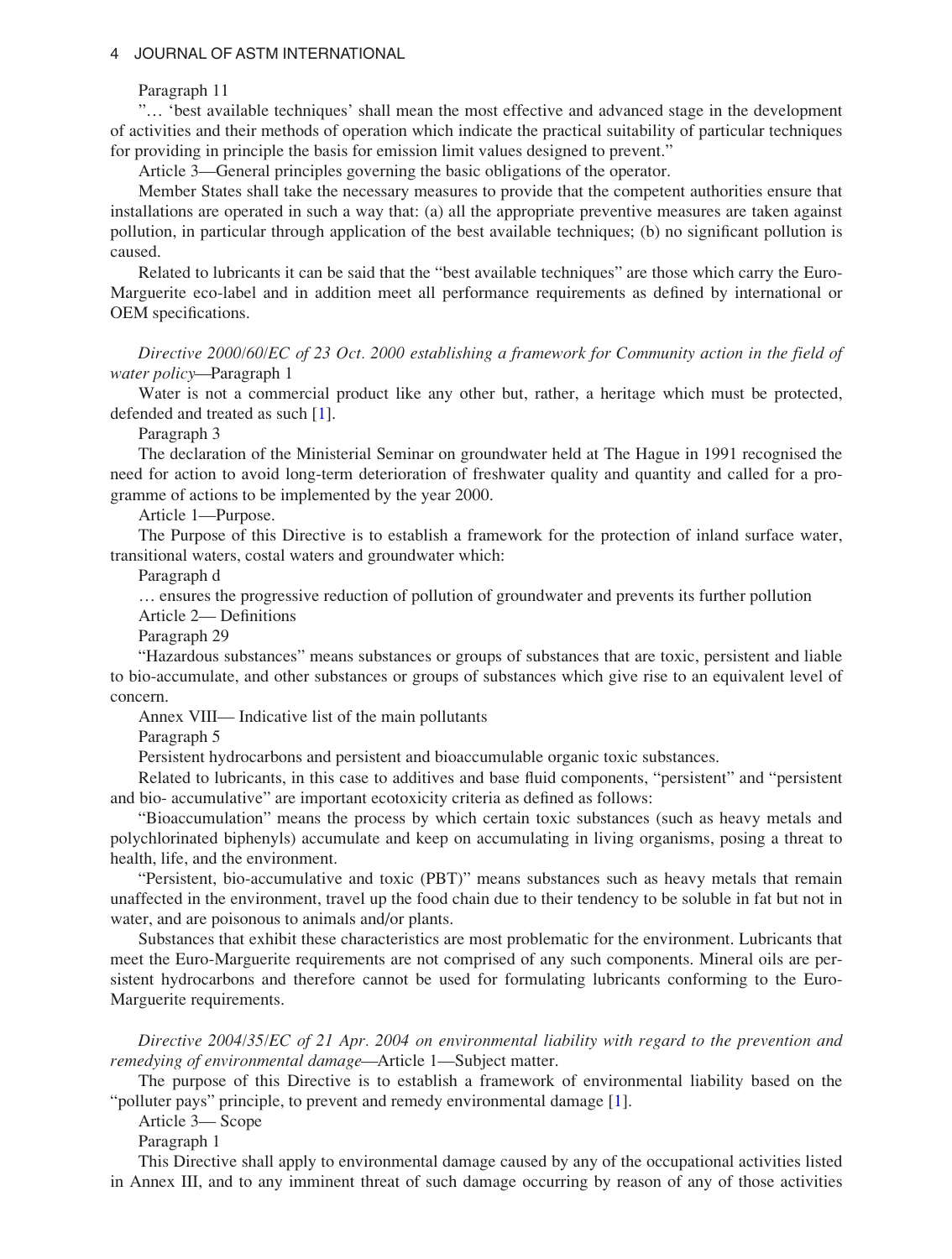#### 4 JOURNAL OF ASTM INTERNATIONAL

#### Paragraph 11

"… 'best available techniques' shall mean the most effective and advanced stage in the development of activities and their methods of operation which indicate the practical suitability of particular techniques for providing in principle the basis for emission limit values designed to prevent."

Article 3—General principles governing the basic obligations of the operator.

Member States shall take the necessary measures to provide that the competent authorities ensure that installations are operated in such a way that: (a) all the appropriate preventive measures are taken against pollution, in particular through application of the best available techniques; (b) no significant pollution is caused.

Related to lubricants it can be said that the "best available techniques" are those which carry the Euro-Marguerite eco-label and in addition meet all performance requirements as defined by international or OEM specifications.

Directive 2000/60/EC of 23 Oct. 2000 establishing a framework for Community action in the field of water policy—Paragraph 1

Water is not a commercial product like any other but, rather, a heritage which must be protected, defended and treated as such [\[1\]](#page-6-0).

Paragraph 3

The declaration of the Ministerial Seminar on groundwater held at The Hague in 1991 recognised the need for action to avoid long-term deterioration of freshwater quality and quantity and called for a programme of actions to be implemented by the year 2000.

Article 1—Purpose.

The Purpose of this Directive is to establish a framework for the protection of inland surface water, transitional waters, costal waters and groundwater which:

Paragraph d

… ensures the progressive reduction of pollution of groundwater and prevents its further pollution Article 2— Definitions

Paragraph 29

"Hazardous substances" means substances or groups of substances that are toxic, persistent and liable to bio-accumulate, and other substances or groups of substances which give rise to an equivalent level of concern.

Annex VIII— Indicative list of the main pollutants

Paragraph 5

Persistent hydrocarbons and persistent and bioaccumulable organic toxic substances.

Related to lubricants, in this case to additives and base fluid components, "persistent" and "persistent and bio- accumulative" are important ecotoxicity criteria as defined as follows:

"Bioaccumulation" means the process by which certain toxic substances (such as heavy metals and polychlorinated biphenyls) accumulate and keep on accumulating in living organisms, posing a threat to health, life, and the environment.

"Persistent, bio-accumulative and toxic (PBT)" means substances such as heavy metals that remain unaffected in the environment, travel up the food chain due to their tendency to be soluble in fat but not in water, and are poisonous to animals and/or plants.

Substances that exhibit these characteristics are most problematic for the environment. Lubricants that meet the Euro-Marguerite requirements are not comprised of any such components. Mineral oils are persistent hydrocarbons and therefore cannot be used for formulating lubricants conforming to the Euro-Marguerite requirements.

Directive 2004/35/EC of 21 Apr. 2004 on environmental liability with regard to the prevention and remedying of environmental damage—Article 1—Subject matter.

The purpose of this Directive is to establish a framework of environmental liability based on the "polluter pays" principle, to prevent and remedy environmental damage [[1](#page-6-0)].

Article 3— Scope

Paragraph 1

This Directive shall apply to environmental damage caused by any of the occupational activities listed in Annex III, and to any imminent threat of such damage occurring by reason of any of those activities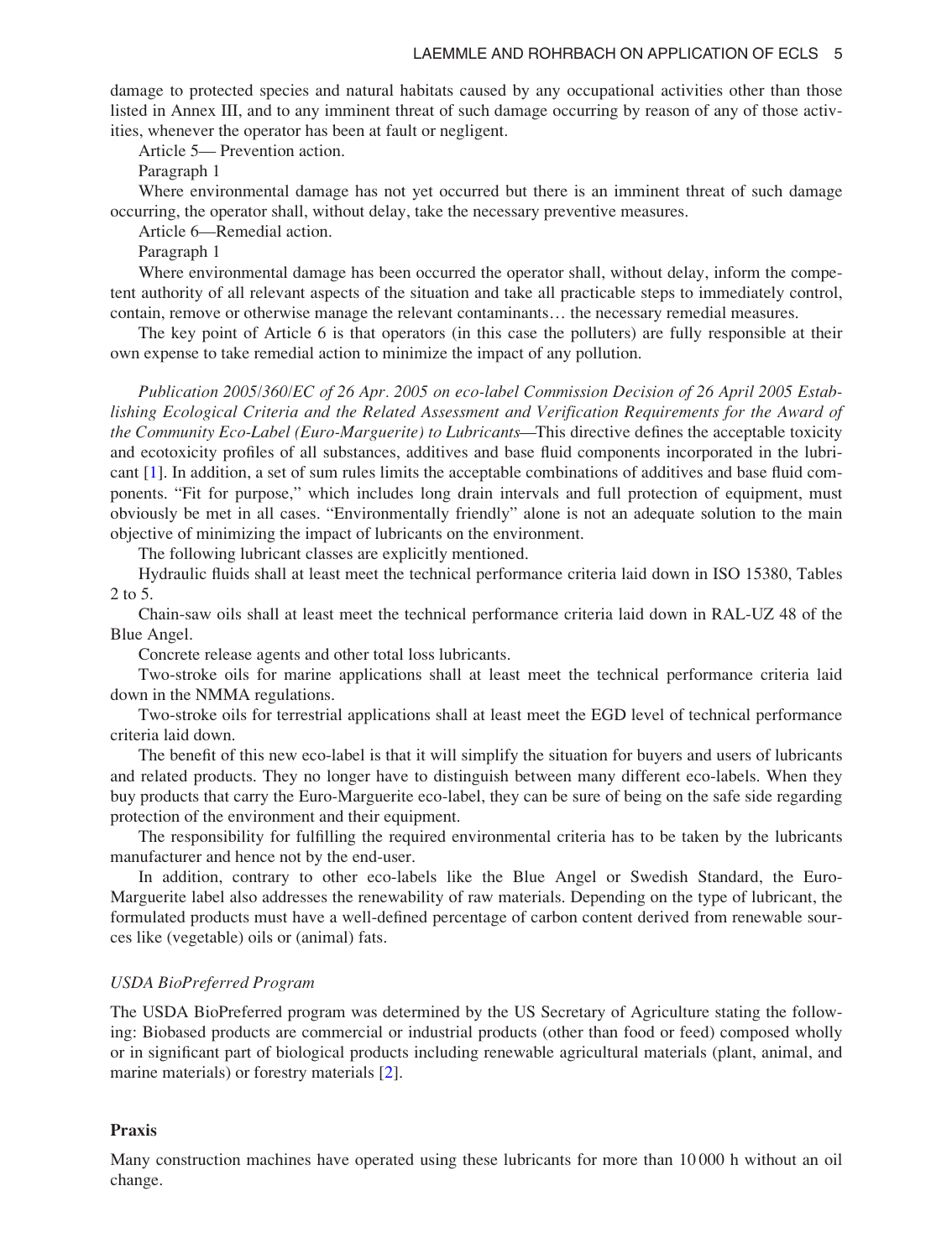damage to protected species and natural habitats caused by any occupational activities other than those listed in Annex III, and to any imminent threat of such damage occurring by reason of any of those activities, whenever the operator has been at fault or negligent.

Article 5— Prevention action.

Paragraph 1

Where environmental damage has not yet occurred but there is an imminent threat of such damage occurring, the operator shall, without delay, take the necessary preventive measures.

Article 6—Remedial action.

Paragraph 1

Where environmental damage has been occurred the operator shall, without delay, inform the competent authority of all relevant aspects of the situation and take all practicable steps to immediately control, contain, remove or otherwise manage the relevant contaminants… the necessary remedial measures.

The key point of Article 6 is that operators (in this case the polluters) are fully responsible at their own expense to take remedial action to minimize the impact of any pollution.

Publication 2005/360/EC of 26 Apr. 2005 on eco-label Commission Decision of 26 April 2005 Establishing Ecological Criteria and the Related Assessment and Verification Requirements for the Award of the Community Eco-Label (Euro-Marguerite) to Lubricants—This directive defines the acceptable toxicity and ecotoxicity profiles of all substances, additives and base fluid components incorporated in the lubricant [[1](#page-6-0)]. In addition, a set of sum rules limits the acceptable combinations of additives and base fluid components. "Fit for purpose," which includes long drain intervals and full protection of equipment, must obviously be met in all cases. "Environmentally friendly" alone is not an adequate solution to the main objective of minimizing the impact of lubricants on the environment.

The following lubricant classes are explicitly mentioned.

Hydraulic fluids shall at least meet the technical performance criteria laid down in ISO 15380, Tables 2 to 5.

Chain-saw oils shall at least meet the technical performance criteria laid down in RAL-UZ 48 of the Blue Angel.

Concrete release agents and other total loss lubricants.

Two-stroke oils for marine applications shall at least meet the technical performance criteria laid down in the NMMA regulations.

Two-stroke oils for terrestrial applications shall at least meet the EGD level of technical performance criteria laid down.

The benefit of this new eco-label is that it will simplify the situation for buyers and users of lubricants and related products. They no longer have to distinguish between many different eco-labels. When they buy products that carry the Euro-Marguerite eco-label, they can be sure of being on the safe side regarding protection of the environment and their equipment.

The responsibility for fulfilling the required environmental criteria has to be taken by the lubricants manufacturer and hence not by the end-user.

In addition, contrary to other eco-labels like the Blue Angel or Swedish Standard, the Euro-Marguerite label also addresses the renewability of raw materials. Depending on the type of lubricant, the formulated products must have a well-defined percentage of carbon content derived from renewable sources like (vegetable) oils or (animal) fats.

## USDA BioPreferred Program

The USDA BioPreferred program was determined by the US Secretary of Agriculture stating the following: Biobased products are commercial or industrial products (other than food or feed) composed wholly or in significant part of biological products including renewable agricultural materials (plant, animal, and marine materials) or forestry materials [\[2\]](#page-6-0).

### Praxis

Many construction machines have operated using these lubricants for more than 10 000 h without an oil change.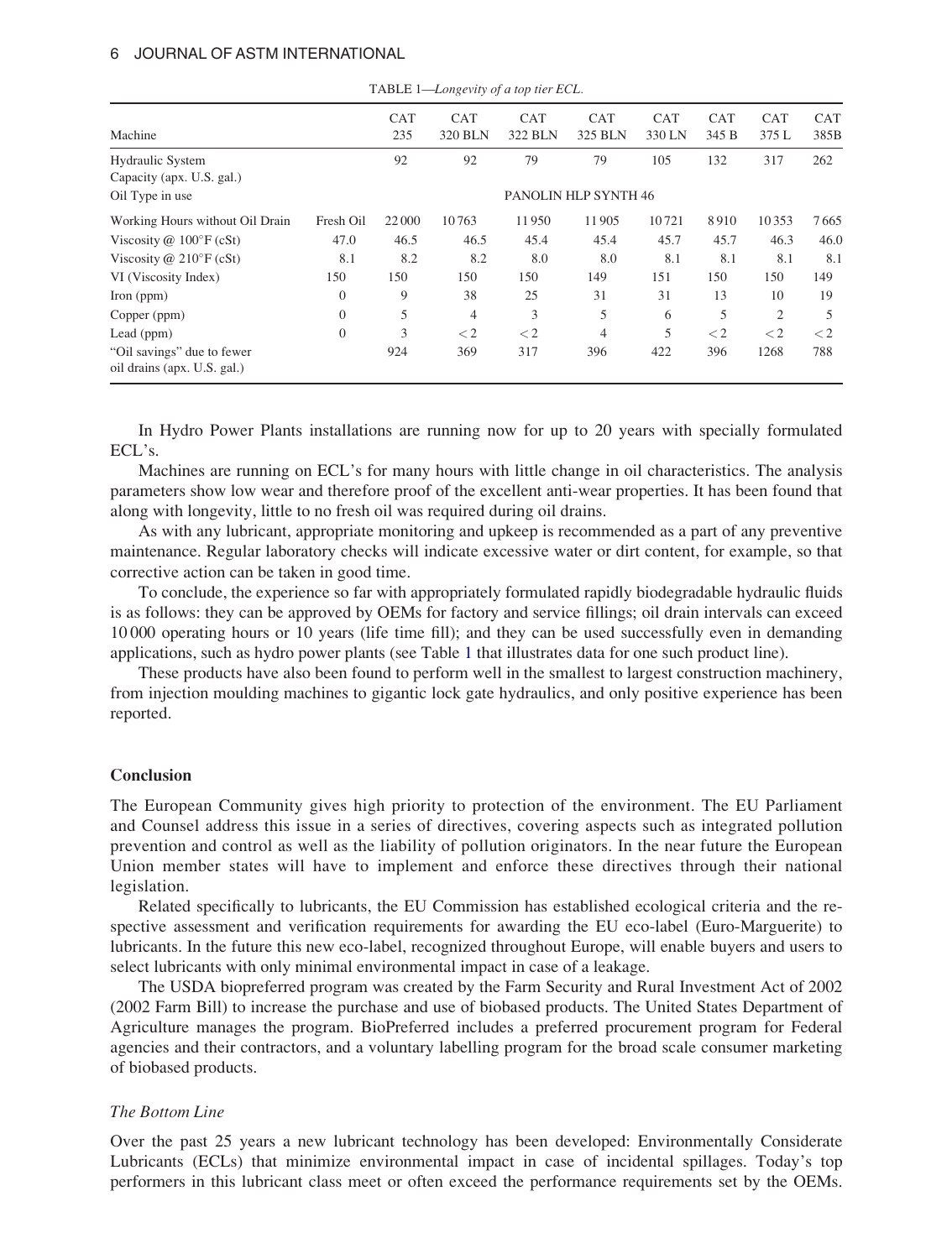### 6 JOURNAL OF ASTM INTERNATIONAL

| Machine                                                   |           | <b>CAT</b><br>235           | <b>CAT</b><br>320 BLN | <b>CAT</b><br>322 BLN | <b>CAT</b><br>325 BLN | <b>CAT</b><br>330 LN | <b>CAT</b><br>345 B | <b>CAT</b><br>375 L | <b>CAT</b><br>385B |  |
|-----------------------------------------------------------|-----------|-----------------------------|-----------------------|-----------------------|-----------------------|----------------------|---------------------|---------------------|--------------------|--|
| <b>Hydraulic System</b><br>Capacity (apx. U.S. gal.)      |           | 92                          | 92                    | 79                    | 79                    | 105                  | 132                 | 317                 | 262                |  |
| Oil Type in use                                           |           | <b>PANOLIN HLP SYNTH 46</b> |                       |                       |                       |                      |                     |                     |                    |  |
| Working Hours without Oil Drain                           | Fresh Oil | 22000                       | 10763                 | 11950                 | 11905                 | 10721                | 8910                | 10353               | 7665               |  |
| Viscosity @ $100^{\circ}$ F (cSt)                         | 47.0      | 46.5                        | 46.5                  | 45.4                  | 45.4                  | 45.7                 | 45.7                | 46.3                | 46.0               |  |
| Viscosity @ 210 $\degree$ F (cSt)                         | 8.1       | 8.2                         | 8.2                   | 8.0                   | 8.0                   | 8.1                  | 8.1                 | 8.1                 | 8.1                |  |
| VI (Viscosity Index)                                      | 150       | 150                         | 150                   | 150                   | 149                   | 151                  | 150                 | 150                 | 149                |  |
| $\Gamma$ Iron (ppm)                                       | $\Omega$  | 9                           | 38                    | 25                    | 31                    | 31                   | 13                  | 10                  | 19                 |  |
| Copper (ppm)                                              | $\theta$  | 5                           | $\overline{4}$        | 3                     | 5                     | 6                    | 5                   | $\overline{2}$      | 5                  |  |
| Lead (ppm)                                                | $\Omega$  | 3                           | $\lt 2$               | $\lt 2$               | $\overline{4}$        | 5                    | $\lt 2$             | $\lt 2$             | $\lt 2$            |  |
| "Oil savings" due to fewer<br>oil drains (apx. U.S. gal.) |           | 924                         | 369                   | 317                   | 396                   | 422                  | 396                 | 1268                | 788                |  |

TABLE 1—Longevity of a top tier ECL.

In Hydro Power Plants installations are running now for up to 20 years with specially formulated ECL's.

Machines are running on ECL's for many hours with little change in oil characteristics. The analysis parameters show low wear and therefore proof of the excellent anti-wear properties. It has been found that along with longevity, little to no fresh oil was required during oil drains.

As with any lubricant, appropriate monitoring and upkeep is recommended as a part of any preventive maintenance. Regular laboratory checks will indicate excessive water or dirt content, for example, so that corrective action can be taken in good time.

To conclude, the experience so far with appropriately formulated rapidly biodegradable hydraulic fluids is as follows: they can be approved by OEMs for factory and service fillings; oil drain intervals can exceed 10 000 operating hours or 10 years (life time fill); and they can be used successfully even in demanding applications, such as hydro power plants (see Table 1 that illustrates data for one such product line).

These products have also been found to perform well in the smallest to largest construction machinery, from injection moulding machines to gigantic lock gate hydraulics, and only positive experience has been reported.

#### **Conclusion**

The European Community gives high priority to protection of the environment. The EU Parliament and Counsel address this issue in a series of directives, covering aspects such as integrated pollution prevention and control as well as the liability of pollution originators. In the near future the European Union member states will have to implement and enforce these directives through their national legislation.

Related specifically to lubricants, the EU Commission has established ecological criteria and the respective assessment and verification requirements for awarding the EU eco-label (Euro-Marguerite) to lubricants. In the future this new eco-label, recognized throughout Europe, will enable buyers and users to select lubricants with only minimal environmental impact in case of a leakage.

The USDA biopreferred program was created by the Farm Security and Rural Investment Act of 2002 (2002 Farm Bill) to increase the purchase and use of biobased products. The United States Department of Agriculture manages the program. BioPreferred includes a preferred procurement program for Federal agencies and their contractors, and a voluntary labelling program for the broad scale consumer marketing of biobased products.

#### The Bottom Line

Over the past 25 years a new lubricant technology has been developed: Environmentally Considerate Lubricants (ECLs) that minimize environmental impact in case of incidental spillages. Today's top performers in this lubricant class meet or often exceed the performance requirements set by the OEMs.